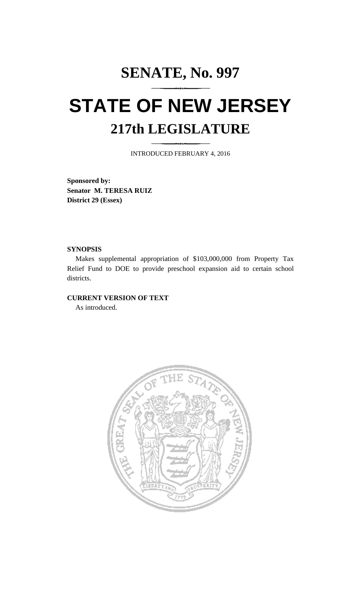# **SENATE, No. 997 STATE OF NEW JERSEY 217th LEGISLATURE**

INTRODUCED FEBRUARY 4, 2016

**Sponsored by: Senator M. TERESA RUIZ District 29 (Essex)**

#### **SYNOPSIS**

Makes supplemental appropriation of \$103,000,000 from Property Tax Relief Fund to DOE to provide preschool expansion aid to certain school districts.

#### **CURRENT VERSION OF TEXT**

As introduced.

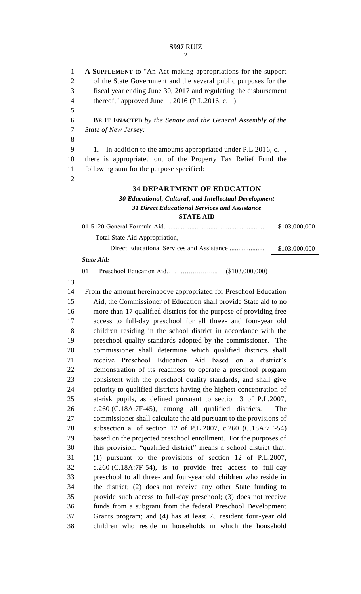#### **S997** RUIZ  $\mathcal{D}_{\mathcal{L}}$

 **A SUPPLEMENT** to "An Act making appropriations for the support of the State Government and the several public purposes for the fiscal year ending June 30, 2017 and regulating the disbursement thereof," approved June , 2016 (P.L.2016, c. ). **BE IT ENACTED** *by the Senate and the General Assembly of the* 

*State of New Jersey:*

9 1. In addition to the amounts appropriated under P.L.2016, c.,

 there is appropriated out of the Property Tax Relief Fund the following sum for the purpose specified:

#### **34 DEPARTMENT OF EDUCATION**

## *Educational, Cultural, and Intellectual Development Direct Educational Services and Assistance*

### **STATE AID**

|                                | \$103,000,000 |
|--------------------------------|---------------|
| Total State Aid Appropriation, |               |
|                                | \$103,000,000 |

#### *State Aid:*

01 Preschool Education Aid…..………………... (\$103,000,000)

 From the amount hereinabove appropriated for Preschool Education Aid, the Commissioner of Education shall provide State aid to no more than 17 qualified districts for the purpose of providing free access to full-day preschool for all three- and four-year old children residing in the school district in accordance with the preschool quality standards adopted by the commissioner. The commissioner shall determine which qualified districts shall receive Preschool Education Aid based on a district's demonstration of its readiness to operate a preschool program consistent with the preschool quality standards, and shall give priority to qualified districts having the highest concentration of at-risk pupils, as defined pursuant to section 3 of P.L.2007, c.260 (C.18A:7F-45), among all qualified districts. The commissioner shall calculate the aid pursuant to the provisions of subsection a. of section 12 of P.L.2007, c.260 (C.18A:7F-54) based on the projected preschool enrollment. For the purposes of this provision, "qualified district" means a school district that: (1) pursuant to the provisions of section 12 of P.L.2007, c.260 (C.18A:7F-54), is to provide free access to full-day preschool to all three- and four-year old children who reside in the district; (2) does not receive any other State funding to provide such access to full-day preschool; (3) does not receive funds from a subgrant from the federal Preschool Development Grants program; and (4) has at least 75 resident four-year old children who reside in households in which the household